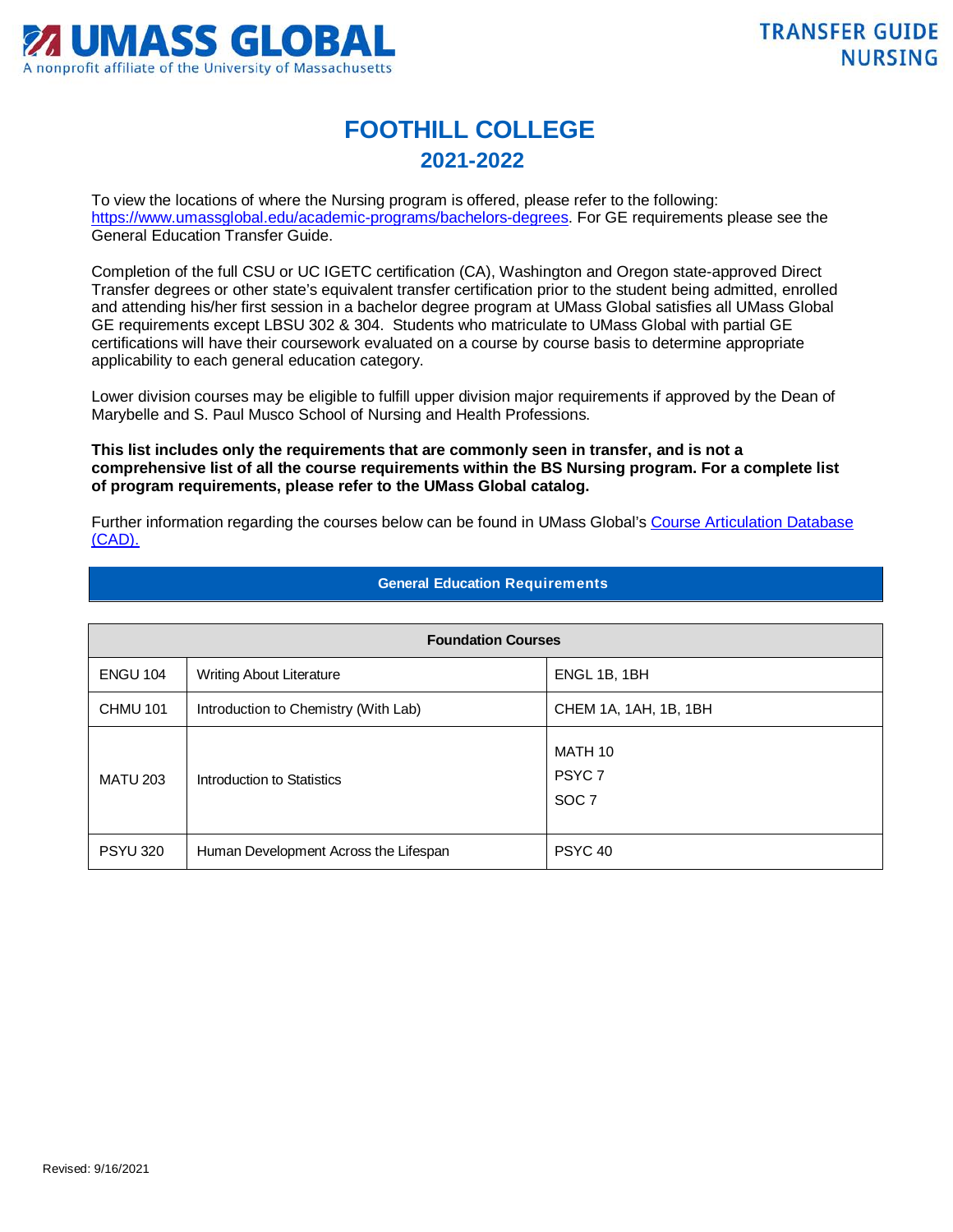

## **FOOTHILL COLLEGE 2021-2022**

To view the locations of where the Nursing program is offered, please refer to the following: [https://www.umassglobal.edu/academic-programs/bachelors-degrees.](https://www.umassglobal.edu/academic-programs/bachelors-degrees) For GE requirements please see the General Education Transfer Guide.

Completion of the full CSU or UC IGETC certification (CA), Washington and Oregon state-approved Direct Transfer degrees or other state's equivalent transfer certification prior to the student being admitted, enrolled and attending his/her first session in a bachelor degree program at UMass Global satisfies all UMass Global GE requirements except LBSU 302 & 304. Students who matriculate to UMass Global with partial GE certifications will have their coursework evaluated on a course by course basis to determine appropriate applicability to each general education category.

Lower division courses may be eligible to fulfill upper division major requirements if approved by the Dean of Marybelle and S. Paul Musco School of Nursing and Health Professions.

**This list includes only the requirements that are commonly seen in transfer, and is not a comprehensive list of all the course requirements within the BS Nursing program. For a complete list of program requirements, please refer to the UMass Global catalog.**

Further information regarding the courses below can be found in UMass Global's [Course Articulation Database](http://services.umassglobal.edu/studentservices/TransferCredit/)  [\(CAD\).](http://services.umassglobal.edu/studentservices/TransferCredit/) 

| <b>Foundation Courses</b> |                                       |                                                  |  |
|---------------------------|---------------------------------------|--------------------------------------------------|--|
| <b>ENGU 104</b>           | <b>Writing About Literature</b>       | ENGL 1B, 1BH                                     |  |
| CHMU 101                  | Introduction to Chemistry (With Lab)  | CHEM 1A, 1AH, 1B, 1BH                            |  |
| <b>MATU 203</b>           | Introduction to Statistics            | MATH 10<br>PSYC <sub>7</sub><br>SOC <sub>7</sub> |  |
| <b>PSYU 320</b>           | Human Development Across the Lifespan | PSYC <sub>40</sub>                               |  |

## **General Education Requirements**